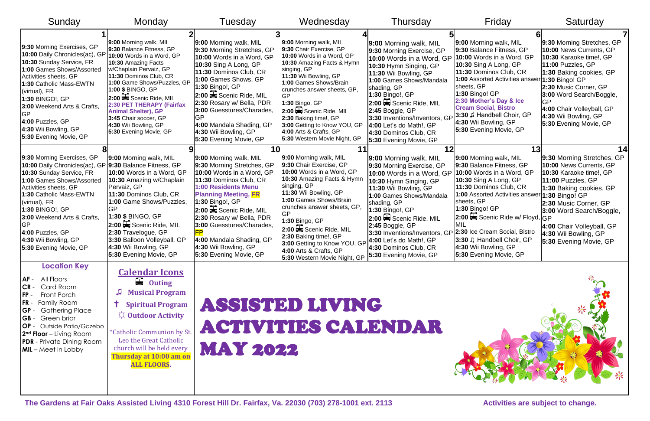| Sunday                                                                                                                                                                                                                                                                                                                    | Monday                                                                                                                                                                                                                                                                                                                                                                        | Tuesday                                                                                                                                                                                                                                                                                                                                                        | Wednesday                                                                                                                                                                                                                                                                                                                                                                                                | Thursday                                                                                                                                                                                                                                                                                                                                                            | Friday                                                                                                                                                                                                                                                                                                                                           | Saturday                                                                                                                                                                                                                                                                               |
|---------------------------------------------------------------------------------------------------------------------------------------------------------------------------------------------------------------------------------------------------------------------------------------------------------------------------|-------------------------------------------------------------------------------------------------------------------------------------------------------------------------------------------------------------------------------------------------------------------------------------------------------------------------------------------------------------------------------|----------------------------------------------------------------------------------------------------------------------------------------------------------------------------------------------------------------------------------------------------------------------------------------------------------------------------------------------------------------|----------------------------------------------------------------------------------------------------------------------------------------------------------------------------------------------------------------------------------------------------------------------------------------------------------------------------------------------------------------------------------------------------------|---------------------------------------------------------------------------------------------------------------------------------------------------------------------------------------------------------------------------------------------------------------------------------------------------------------------------------------------------------------------|--------------------------------------------------------------------------------------------------------------------------------------------------------------------------------------------------------------------------------------------------------------------------------------------------------------------------------------------------|----------------------------------------------------------------------------------------------------------------------------------------------------------------------------------------------------------------------------------------------------------------------------------------|
| 9:30 Morning Exercises, GP<br>10:00 Daily Chronicles(ac), GP<br>10:30 Sunday Service, FR<br>1:00 Games Shows/Assorted<br>Activities sheets, GP<br>1:30 Catholic Mass-EWTN<br>(virtual), FR<br>1:30 BINGO!, GP<br>3:00 Weekend Arts & Crafts,<br>4:00 Puzzles, GP<br>4:30 Wii Bowling, GP<br>5:30 Evening Movie, GP        | 9:00 Morning walk, MIL<br>9:30 Balance Fitness, GP<br>10:00 Words in a Word, GP<br>10:30 Amazing Facts<br>w/Chaplain Pervaiz, GP<br>11:30 Dominos Club, CR<br>1:00 Game Shows/Puzzles, GP<br>1:00 \$ BINGO, GP<br>2:00 Scenic Ride, MIL<br>2:30 PET THERAPY (Fairfax<br><b>Animal Shelter), GP</b><br>3:45 Chair soccer, GP<br>4:30 Wii Bowling, GP<br>5:30 Evening Movie, GP | 9:00 Morning walk, MIL<br>9:30 Morning Stretches, GP<br>10:00 Words in a Word, GP<br>10:30 Sing A Long, GP<br>11:30 Dominos Club, CR<br>1:00 Games Shows, GP<br>1:30 Bingo!, GP<br>$2:00 \rightarrow$ Scenic Ride, MIL<br>2:30 Rosary w/ Bella, PDR<br>3:00 Guesstures/Charades,<br>4:00 Mandala Shading, GP<br>4:30 Wii Bowling, GP<br>5:30 Evening Movie, GP | 9:00 Morning walk, MIL<br>9:30 Chair Exercise, GP<br>10:00 Words in a Word, GP<br>10:30 Amazing Facts & Hymn<br>singing, GP<br>11:30 Wii Bowling, GP<br>1:00 Games Shows/Brain<br>crunches answer sheets, GP,<br>1:30 Bingo, GP<br>2:00 Scenic Ride, MIL<br>2:30 Baking time!, GP<br>3:00 Getting to Know YOU, GP<br>4:00 Arts & Crafts, GP<br>5:30 Western Movie Night, GP                              | 9:00 Morning walk, MIL<br>9:30 Morning Exercise, GP<br>10:00 Words in a Word, GP<br>10:30 Hymn Singing, GP<br>11:30 Wii Bowling, GP<br>1:00 Games Shows/Mandala<br>shading, GP<br>1:30 Bingo!, GP<br>2:00 Scenic Ride, MIL<br>2:45 Boggle, GP<br>3:30 Inventions/Inventors, GP<br>4:00 Let's do Math!, GP<br>4:30 Dominos Club, CR<br>5:30 Evening Movie, GP        | 9:00 Morning walk, MIL<br>9:30 Balance Fitness, GP<br>10:00 Words in a Word, GP<br>10:30 Sing A Long, GP<br>11:30 Dominos Club, CR<br>1:00 Assorted Activities answer<br>sheets, GP<br>$1:30$ Bingo! GP<br>2:30 Mother's Day & Ice<br><b>Cream Social, Bistro</b><br>3:30 J Handbell Choir, GP<br>4:30 Wii Bowling, GP<br>5:30 Evening Movie, GP | 9:30 Morning Stretches, GP<br>10:00 News Currents, GP<br>10:30 Karaoke time!, GP<br>11:00 Puzzles, GP<br>1:30 Baking cookies, GP<br>1:30 Bingo! GP<br>2:30 Music Corner, GP<br>3:00 Word Search/Boggle,<br>4:00 Chair Volleyball, GP<br>4:30 Wii Bowling, GP<br>5:30 Evening Movie, GP |
| 9:30 Morning Exercises, GP<br>10:00 Daily Chronicles(ac), GP<br>10:30 Sunday Service, FR<br>1:00 Games Shows/Assorted<br>Activities sheets, GP<br>1:30 Catholic Mass-EWTN<br>(virtual), FR<br>1:30 BINGO!, GP<br>3:00 Weekend Arts & Crafts,<br>4:00 Puzzles, GP<br>4:30 Wii Bowling, GP<br>5:30 Evening Movie, GP        | 9:00 Morning walk, MIL<br>9:30 Balance Fitness, GP<br>10:00 Words in a Word, GP<br>10:30 Amazing w/Chaplain<br>Pervaiz, GP<br>11:30 Dominos Club, CR<br>1:00 Game Shows/Puzzles,<br>1:30 \$ BINGO, GP<br>2:00 Scenic Ride, MIL<br>2:30 Travelogue, GP<br>3:30 Balloon Volleyball, GP<br>4:30 Wii Bowling, GP<br>5:30 Evening Movie, GP                                        | 9:00 Morning walk, MIL<br>9:30 Morning Stretches, GP<br>10:00 Words in a Word, GP<br>11:30 Dominos Club, CR<br><b>1:00 Residents Menu</b><br><b>Planning Meeting, FR</b><br>1:30 Bingo!, GP<br>2:00 Scenic Ride, MIL<br>2:30 Rosary w/ Bella, PDR<br>3:00 Guesstures/Charades,<br>4:00 Mandala Shading, GP<br>4:30 Wii Bowling, GP<br>5:30 Evening Movie, GP   | 9:00 Morning walk, MIL<br>9:30 Chair Exercise, GP<br>10:00 Words in a Word, GP<br>10:30 Amazing Facts & Hymr<br>singing, GP<br>11:30 Wii Bowling, GP<br>1:00 Games Shows/Brain<br>crunches answer sheets, GP,<br>GP<br>1:30 Bingo, GP<br>2:00 Scenic Ride, MIL<br>2:30 Baking time!, GP<br>3:00 Getting to Know YOU, GF<br>4:00 Arts & Crafts, GP<br>5:30 Western Movie Night, GP 5:30 Evening Movie, GP | 9:00 Morning walk, MIL<br>9:30 Morning Exercise, GP<br>10:00 Words in a Word, GP<br>10:30 Hymn Singing, GP<br>11:30 Wii Bowling, GP<br>1:00 Games Shows/Mandala<br>shading, GP<br>1:30 Bingo!, GP<br>2:00 Scenic Ride, MIL<br>$ 2:45$ Boggle, GP<br>3:30 Inventions/Inventors, GP 2:30 Ice Cream Social, Bistro<br>4:00 Let's do Math!, GP<br>4:30 Dominos Club, CR | 9:00 Morning walk, MIL<br>9:30 Balance Fitness, GP<br>10:00 Words in a Word, GP<br>10:30 Sing A Long, GP<br>11:30 Dominos Club, CR<br>1:00 Assorted Activities answe<br>sheets, GP<br>$1:30$ Bingo! GP<br>2:00 Scenic Ride w/ Floyd,<br>3:30 J Handbell Choir, GP<br>4:30 Wii Bowling, GP<br>5:30 Evening Movie, GP                              | 9:30 Morning Stretches, GP<br>10:00 News Currents, GP<br>10:30 Karaoke time!, GP<br>11:00 Puzzles, GP<br>1:30 Baking cookies, GP<br>1:30 Bingo! GP<br>2:30 Music Corner, GP<br>3:00 Word Search/Boggle,<br>4:00 Chair Volleyball, GP<br>4:30 Wii Bowling, GP<br>5:30 Evening Movie, GP |
| <b>Location Key</b><br>All Floors<br>IAF -<br><b>CR</b><br>Card Room<br>$IFP -$<br>Front Porch<br>Family Room<br>$FR -$<br><b>Gathering Place</b><br><b>GP-</b><br><b>GB-</b><br>Green briar<br><b>OP</b> - Outside Patio/Gazebo<br>$2nd$ Floor – Living Room<br><b>PDR</b> - Private Dining Room<br>$ML$ – Meet in Lobby | <b>Calendar Icons</b><br>$\blacksquare$<br><b>Outing</b><br><b>Musical Program</b><br><b>Spiritual Program</b><br>$\varphi$ Outdoor Activity<br>*Catholic Communion by St.<br>Leo the Great Catholic<br>church will be held every<br>Thursday at 10:00 am on<br><b>ALL FLOORS.</b>                                                                                            | <b>MAY 2022</b>                                                                                                                                                                                                                                                                                                                                                | ASSISTED LIVING<br>ACTIVITIES CALENDAR                                                                                                                                                                                                                                                                                                                                                                   |                                                                                                                                                                                                                                                                                                                                                                     |                                                                                                                                                                                                                                                                                                                                                  |                                                                                                                                                                                                                                                                                        |